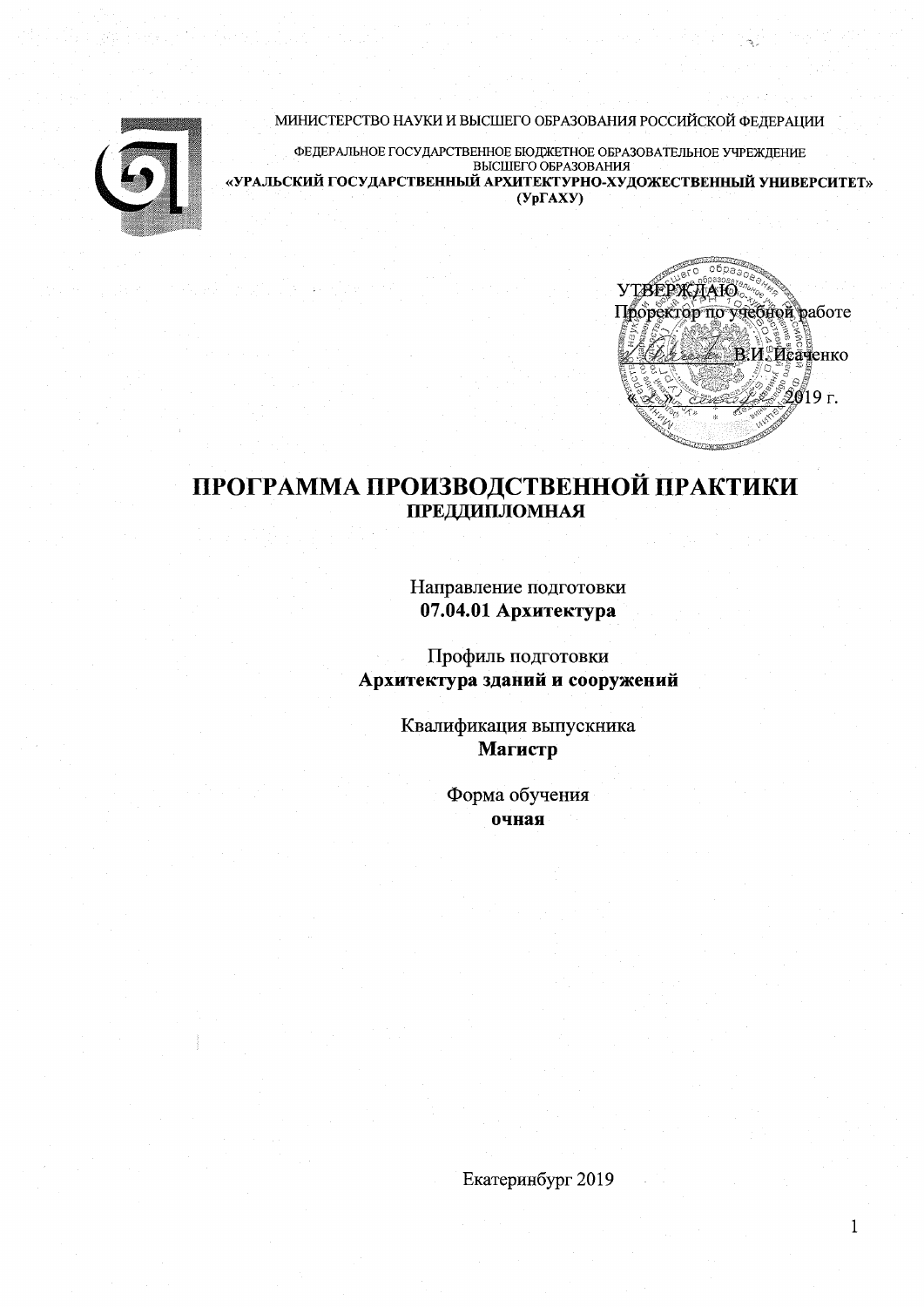МИНИСТЕРСТВО НАУКИ И ВЫСШЕГО ОБРАЗОВАНИЯ РОССИЙСКОЙ ФЕДЕРАЦИИ

ФЕДЕРАЛЬНОЕ ГОСУДАРСТВЕННОЕ БЮДЖЕТНОЕ ОБРАЗОВАТЕЛЬНОЕ УЧРЕЖДЕНИЕ BLICILIETO OFPA3OBAHUS «УРАЛЬСКИЙ ГОСУДАРСТВЕННЫЙ АРХИТЕКТУРНО-ХУДОЖЕСТВЕННЫЙ УНИВЕРСИТЕТ»  $(Yp\Gamma A X Y)$ 



 $\mathbf{1}$ 

# ПРОГРАММА ПРОИЗВОДСТВЕННОЙ ПРАКТИКИ ПРЕДДИПЛОМНАЯ

Направление подготовки 07.04.01 Архитектура

Профиль подготовки Архитектура зданий и сооружений

> Квалификация выпускника Магистр

> > Форма обучения очная

Екатеринбург 2019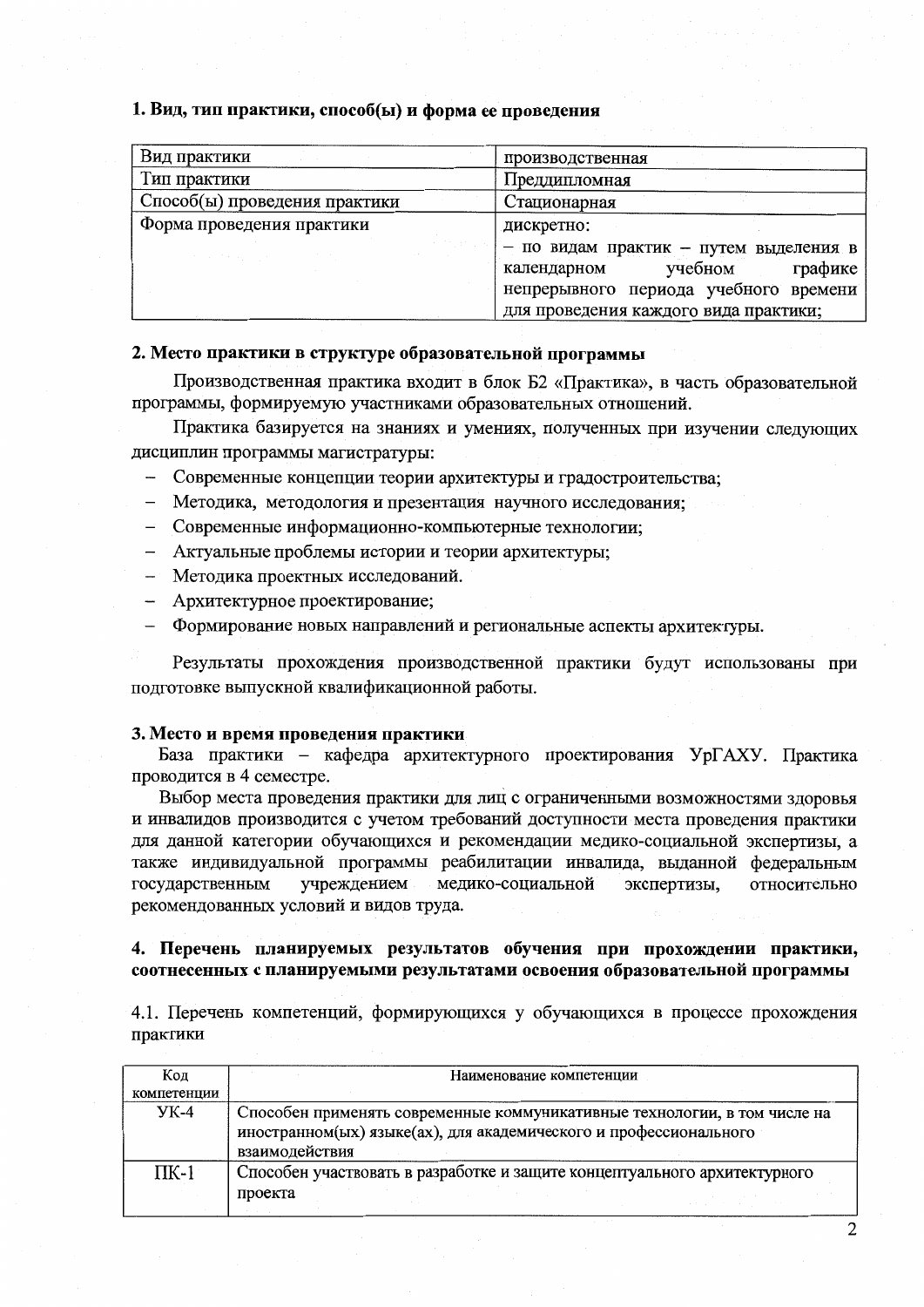#### 1. Вид, тип практики, способ(ы) и форма ее проведения

| Вид практики                      | производственная                                                                                                     |  |  |  |  |
|-----------------------------------|----------------------------------------------------------------------------------------------------------------------|--|--|--|--|
| Тип практики                      | Преддипломная                                                                                                        |  |  |  |  |
| Способ(ы) проведения практики     | Стационарная                                                                                                         |  |  |  |  |
| Форма проведения практики         | дискретно:                                                                                                           |  |  |  |  |
| (ひょうしゃ)<br>and the company of the | - по видам практик - путем выделения в<br>учебном<br>графике<br>календарном<br>непрерывного периода учебного времени |  |  |  |  |
|                                   | для проведения каждого вида практики;                                                                                |  |  |  |  |

#### 2. Место практики в структуре образовательной программы

Производственная практика входит в блок Б2 «Практика», в часть образовательной программы, формируемую участниками образовательных отношений.

Практика базируется на знаниях и умениях, полученных при изучении следующих дисциплин программы магистратуры:

- Современные концепции теории архитектуры и градостроительства;
- Методика, методология и презентация научного исследования;
- Современные информационно-компьютерные технологии;
- Актуальные проблемы истории и теории архитектуры;
- Методика проектных исследований.
- Архитектурное проектирование;
- Формирование новых направлений и региональные аспекты архитектуры.

Результаты прохождения производственной практики будут использованы при подготовке выпускной квалификационной работы.

#### 3. Место и время проведения практики

База практики - кафедра архитектурного проектирования УрГАХУ. Практика проводится в 4 семестре.

Выбор места проведения практики для лиц с ограниченными возможностями здоровья и инвалилов производится с учетом требований доступности места проведения практики для данной категории обучающихся и рекомендации медико-социальной экспертизы, а также индивидуальной программы реабилитации инвалида, выданной федеральным государственным учреждением медико-социальной экспертизы, относительно рекомендованных условий и видов труда.

#### 4. Перечень планируемых результатов обучения при прохождении практики, соотнесенных с планируемыми результатами освоения образовательной программы

4.1. Перечень компетенций, формирующихся у обучающихся в процессе прохождения практики

| Код         | Наименование компетенции                                                                                                                                         |
|-------------|------------------------------------------------------------------------------------------------------------------------------------------------------------------|
| компетенции |                                                                                                                                                                  |
| УК-4        | Способен применять современные коммуникативные технологии, в том числе на<br>иностранном(ых) языке(ах), для академического и профессионального<br>взаимодействия |
| $\Pi K-1$   | Способен участвовать в разработке и защите концептуального архитектурного<br>проекта                                                                             |

2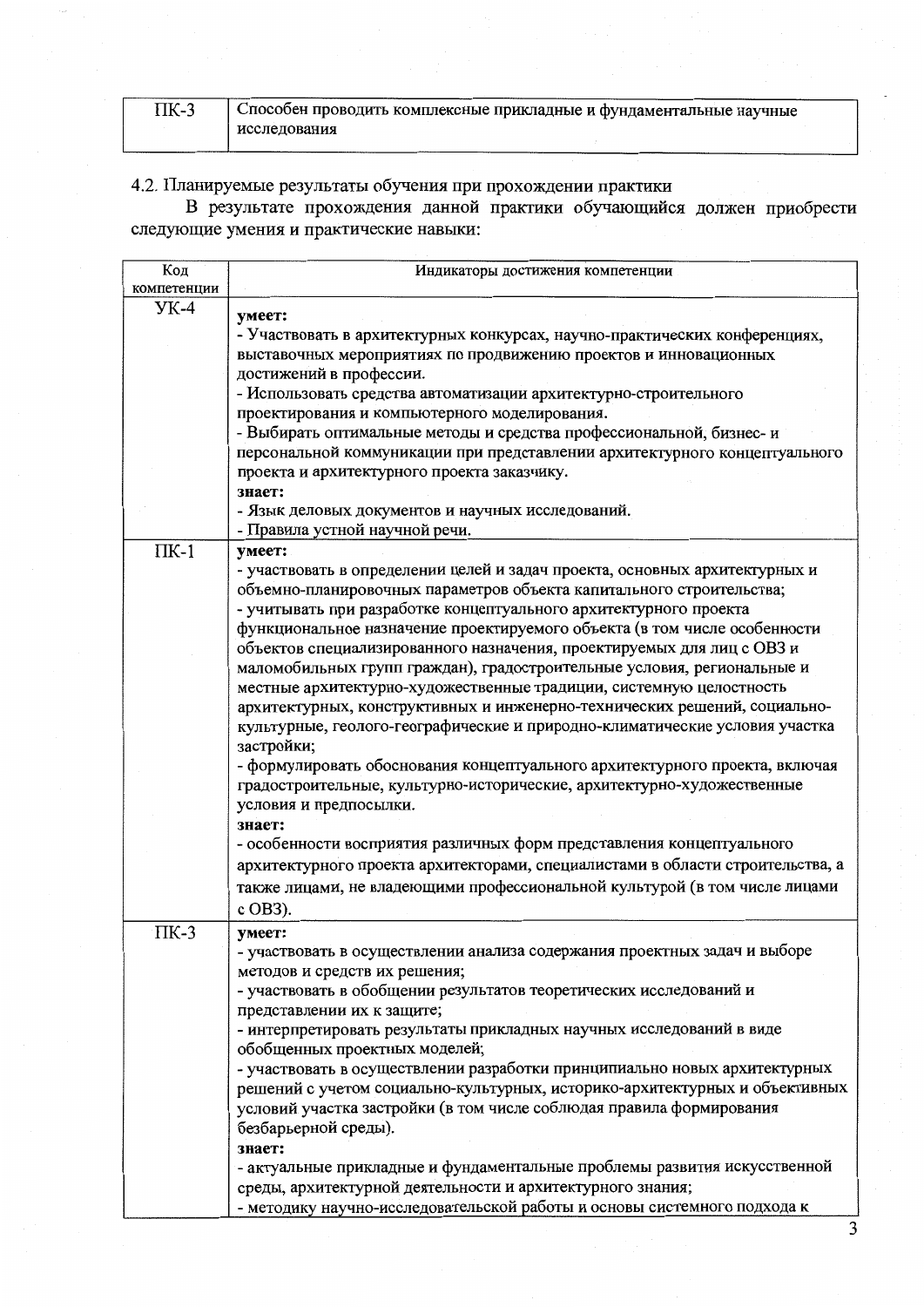| $\Pi$ K-3 | . Способен проводить комплексные прикладные и фундаментальные научные |
|-----------|-----------------------------------------------------------------------|
|           | исследования                                                          |

4.2. Планируемые результаты обучения при прохождении практики<br>В результате прохождения данной практики обучающийся должен приобрести<br>следующие умения и практические навыки:

| Код         | Индикаторы достижения компетенции                                              |
|-------------|--------------------------------------------------------------------------------|
| компетенции |                                                                                |
| $YK-4$      | умеет:                                                                         |
|             | - Участвовать в архитектурных конкурсах, научно-практических конференциях,     |
|             | выставочных мероприятиях по продвижению проектов и инновационных               |
|             | достижений в профессии.                                                        |
|             | - Использовать средства автоматизации архитектурно-строительного               |
|             | проектирования и компьютерного моделирования.                                  |
|             | - Выбирать оптимальные методы и средства профессиональной, бизнес- и           |
|             | персональной коммуникации при представлении архитектурного концептуального     |
|             | проекта и архитектурного проекта заказчику.                                    |
|             | знает:                                                                         |
|             | - Язык деловых документов и научных исследований.                              |
|             | - Правила устной научной речи.                                                 |
| $\Pi K-1$   | умеет:                                                                         |
|             | - участвовать в определении целей и задач проекта, основных архитектурных и    |
|             | объемно-планировочных параметров объекта капитального строительства;           |
|             | - учитывать при разработке концептуального архитектурного проекта              |
|             | функциональное назначение проектируемого объекта (в том числе особенности      |
|             | объектов специализированного назначения, проектируемых для лиц с ОВЗ и         |
|             | маломобильных групп граждан), градостроительные условия, региональные и        |
|             | местные архитектурно-художественные традиции, системную целостность            |
|             | архитектурных, конструктивных и инженерно-технических решений, социально-      |
|             | культурные, геолого-географические и природно-климатические условия участка    |
|             | застройки;                                                                     |
|             | - формулировать обоснования концептуального архитектурного проекта, включая    |
|             | градостроительные, культурно-исторические, архитектурно-художественные         |
|             | условия и предпосылки.                                                         |
|             | знает:                                                                         |
|             | - особенности восприятия различных форм представления концептуального          |
|             | архитектурного проекта архитекторами, специалистами в области строительства, а |
|             | также лицами, не владеющими профессиональной культурой (в том числе лицами     |
|             | c OB3).                                                                        |
| ПК-3        | умеет:                                                                         |
|             | участвовать в осуществлении анализа содержания проектных задач и выборе        |
|             | методов и средств их решения;                                                  |
|             | - участвовать в обобщении результатов теоретических исследований и             |
|             | представлении их к защите;                                                     |
|             | - интерпретировать результаты прикладных научных исследований в виде           |
|             | обобщенных проектных моделей;                                                  |
|             | - участвовать в осуществлении разработки принципиально новых архитектурных     |
|             | решений с учетом социально-культурных, историко-архитектурных и объективных    |
|             | условий участка застройки (в том числе соблюдая правила формирования           |
|             | безбарьерной среды).                                                           |
|             | знает:                                                                         |
|             | - актуальные прикладные и фундаментальные проблемы развития искусственной      |
|             | среды, архитектурной деятельности и архитектурного знания;                     |
|             | - методику научно-исследовательской работы и основы системного подхода к       |

3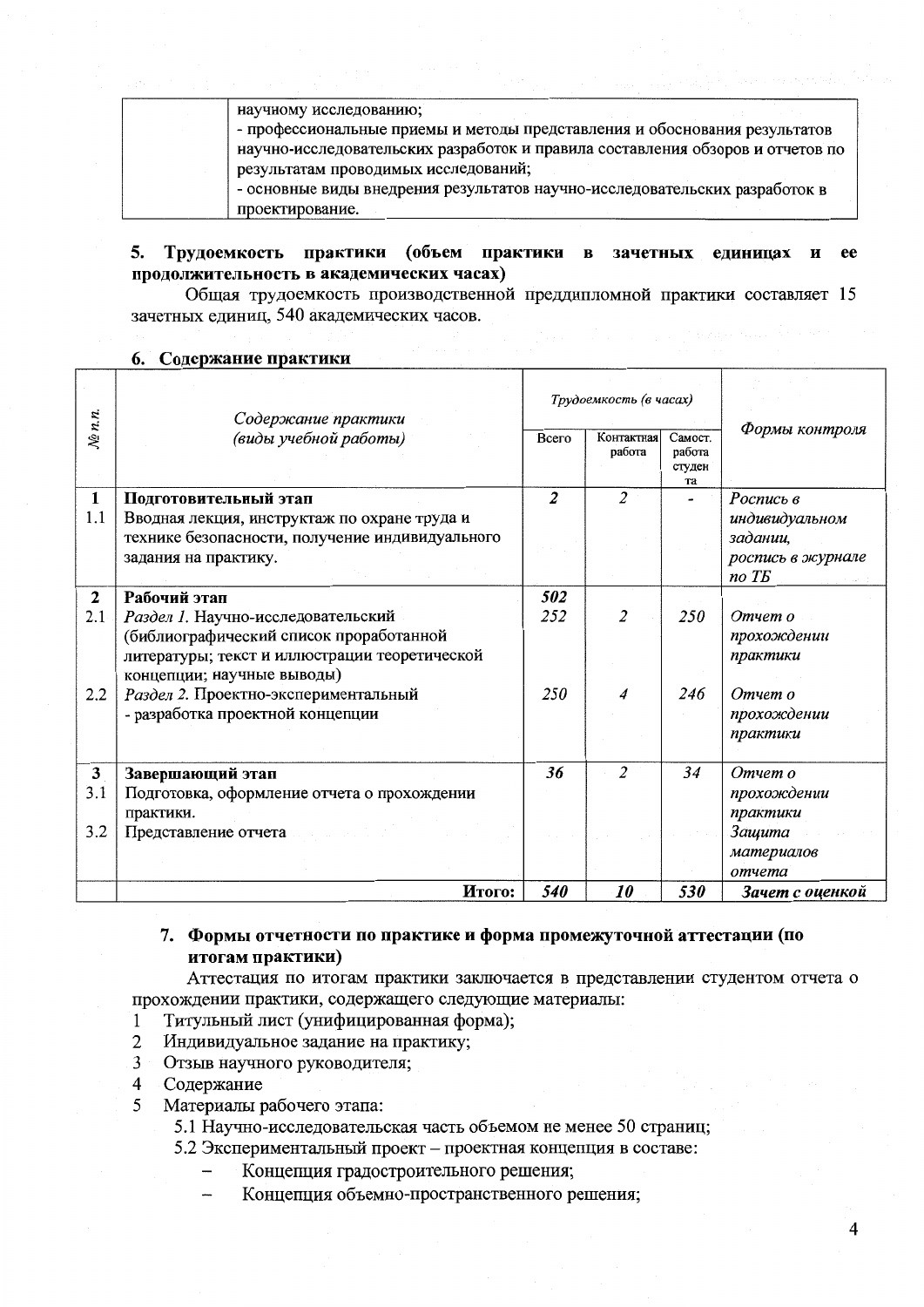| научному исследованию;                                                         |
|--------------------------------------------------------------------------------|
| - профессиональные приемы и методы представления и обоснования результатов     |
| научно-исследовательских разработок и правила составления обзоров и отчетов по |
| результатам проводимых исследований;                                           |
| - основные виды внедрения результатов научно-исследовательских разработок в    |
| проектирование.                                                                |

#### Трудоемкость практики (объем практики в зачетных единицах и  $5.$ продолжительность в академических часах)

Общая трудоемкость производственной преддипломной практики составляет 15 зачетных единиц, 540 академических часов.

|              |                                                                                                                         | Трудоемкость (в часах) |                      |                                   |                                                 |
|--------------|-------------------------------------------------------------------------------------------------------------------------|------------------------|----------------------|-----------------------------------|-------------------------------------------------|
|              | Содержание практики<br>(виды учебной работы)                                                                            |                        |                      |                                   |                                                 |
| $N_{2}$ n.n. |                                                                                                                         | Всего                  | Контактная<br>работа | Самост.<br>работа<br>студен<br>та | Формы контроля                                  |
| 1            | Подготовительный этап                                                                                                   | $\overline{2}$         | $\overline{2}$       |                                   | Роспись в                                       |
| 1.1          | Вводная лекция, инструктаж по охране труда и<br>технике безопасности, получение индивидуального<br>задания на практику. |                        |                      |                                   | индивидуальном<br>задании,<br>роспись в журнале |
|              |                                                                                                                         |                        |                      |                                   | no T <sub>B</sub>                               |
| $\mathbf{2}$ | Рабочий этап                                                                                                            | 502                    |                      |                                   |                                                 |
| 2.1          | Раздел 1. Научно-исследовательский                                                                                      | 252                    | $\overline{2}$       | 250                               | Отчет о                                         |
|              | (библиографический список проработанной<br>литературы; текст и иллюстрации теоретической<br>концепции; научные выводы)  |                        |                      |                                   | прохождении<br>практики                         |
| 2.2          | Раздел 2. Проектно-экспериментальный<br>- разработка проектной концепции                                                | 250                    | 4                    | 246                               | Отчет о<br>прохождении<br>практики              |
| 3            | Завершающий этап                                                                                                        | 36                     | $\overline{c}$       | 34                                | Отчет о                                         |
| 3.1          | Подготовка, оформление отчета о прохождении                                                                             |                        |                      |                                   | прохождении                                     |
|              | практики.                                                                                                               |                        |                      |                                   | практики                                        |
| 3.2          | Представление отчета                                                                                                    |                        |                      |                                   | Защита                                          |
|              |                                                                                                                         |                        |                      |                                   | материалов<br>отчета                            |
|              | Итого:                                                                                                                  | 540                    | <i><b>10</b></i>     | 530                               | Зачет с оценкой                                 |
|              |                                                                                                                         |                        |                      |                                   |                                                 |

#### 6. Содержание практики

## 7. Формы отчетности по практике и форма промежуточной аттестации (по итогам практики)

Аттестация по итогам практики заключается в представлении студентом отчета о прохождении практики, содержащего следующие материалы:

- Титульный лист (унифицированная форма);  $\mathbf{1}$
- Индивидуальное задание на практику;  $\overline{2}$
- $\overline{3}$ Отзыв научного руководителя;
- Содержание  $\overline{4}$
- 5 Материалы рабочего этапа:
	- 5.1 Научно-исследовательская часть объемом не менее 50 страниц;
	- 5.2 Экспериментальный проект проектная концепция в составе:
		- Концепция градостроительного решения;
		- Концепция объемно-пространственного решения;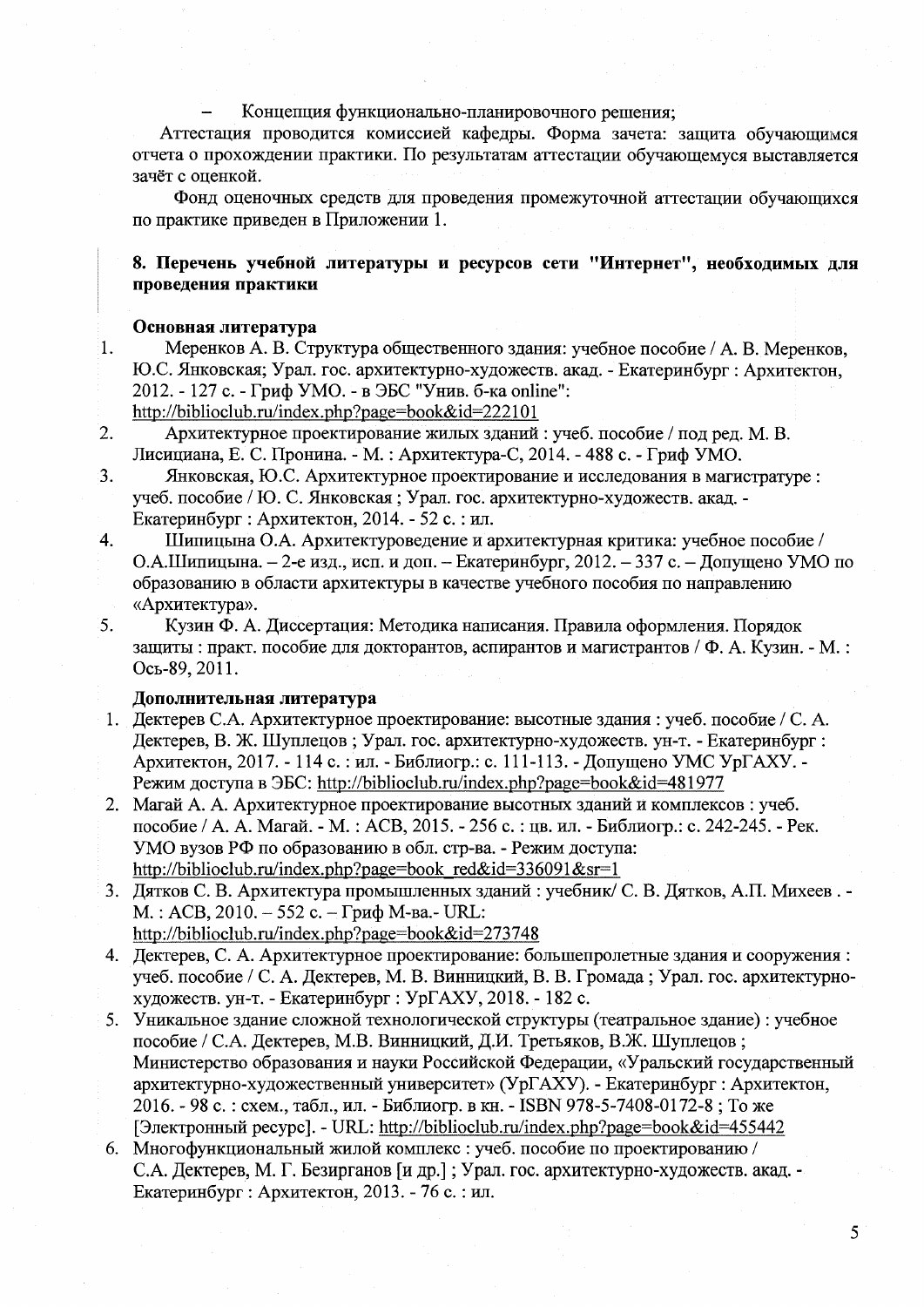#### Концепция функционально-планировочного решения;

Аттестация проводится комиссией кафедры. Форма зачета: защита обучающимся отчета о прохождении практики. По результатам аттестации обучающемуся выставляется зачёт с оценкой.

Фонд оценочных средств для проведения промежуточной аттестации обучающихся по практике приведен в Приложении 1.

## 8. Перечень учебной литературы и ресурсов сети "Интернет", необходимых для проведения практики

### Основная литература

 $\overline{1}$ .

Меренков А. В. Структура общественного здания: учебное пособие / А. В. Меренков, Ю.С. Янковская; Урал. гос. архитектурно-художеств. акад. - Екатеринбург : Архитектон, 2012. - 127 с. - Гриф УМО. - в ЭБС "Унив. б-ка online":

http://biblioclub.ru/index.php?page=book&id=222101

- $\overline{2}$ . Архитектурное проектирование жилых зданий: учеб. пособие / под ред. М. В. Лисициана, Е. С. Пронина. - М. : Архитектура-С, 2014. - 488 с. - Гриф УМО.
- $\overline{3}$ . Янковская, Ю.С. Архитектурное проектирование и исследования в магистратуре: учеб. пособие / Ю. С. Янковская; Урал. гос. архитектурно-художеств. акад. -Екатеринбург: Архитектон, 2014. - 52 с.: ил.
- Шипицына О.А. Архитектуроведение и архитектурная критика: учебное пособие /  $\overline{4}$ . О.А.Шипицына. - 2-е изд., исп. и доп. - Екатеринбург, 2012. - 337 с. - Допущено УМО по образованию в области архитектуры в качестве учебного пособия по направлению «Архитектура».
- 5. Кузин Ф. А. Диссертация: Методика написания. Правила оформления. Порядок защиты: практ. пособие для докторантов, аспирантов и магистрантов / Ф. А. Кузин. - М.: Ось-89, 2011.

#### Дополнительная литература

- 1. Дектерев С.А. Архитектурное проектирование: высотные здания: учеб. пособие / С. А. Дектерев, В. Ж. Шуплецов; Урал. гос. архитектурно-художеств. ун-т. - Екатеринбург: Архитектон, 2017. - 114 с. : ил. - Библиогр.: с. 111-113. - Допущено УМС УрГАХУ. -Режим доступа в ЭБС: http://biblioclub.ru/index.php?page=book&id=481977
- 2. Магай А. А. Архитектурное проектирование высотных зданий и комплексов: учеб. пособие / А. А. Магай. - М.: АСВ, 2015. - 256 с.: цв. ил. - Библиогр.: с. 242-245. - Рек. УМО вузов РФ по образованию в обл. стр-ва. - Режим доступа: http://biblioclub.ru/index.php?page=book red&id=336091&sr=1
- 3. Дятков С. В. Архитектура промышленных зданий: учебник/ С. В. Дятков, А.П. Михеев. -М.: АСВ, 2010. - 552 с. - Гриф М-ва.- URL: http://biblioclub.ru/index.php?page=book&id=273748
- 4. Дектерев, С. А. Архитектурное проектирование: большепролетные здания и сооружения: учеб. пособие / С. А. Дектерев, М. В. Винницкий, В. В. Громада; Урал. гос. архитектурнохудожеств. ун-т. - Екатеринбург : УрГАХУ, 2018. - 182 с.
- 5. Уникальное здание сложной технологической структуры (театральное здание) : учебное пособие / С.А. Дектерев, М.В. Винницкий, Д.И. Третьяков, В.Ж. Шуплецов; Министерство образования и науки Российской Федерации, «Уральский государственный архитектурно-художественный университет» (УрГАХУ). - Екатеринбург : Архитектон, 2016. - 98 с.: схем., табл., ил. - Библиогр. в кн. - ISBN 978-5-7408-0172-8; То же [Электронный ресурс]. - URL: http://biblioclub.ru/index.php?page=book&id=455442
- 6. Многофункциональный жилой комплекс: учеб. пособие по проектированию / С.А. Дектерев, М. Г. Безирганов [и др.]; Урал. гос. архитектурно-художеств. акад. -Екатеринбург : Архитектон, 2013. - 76 с. : ил.

5